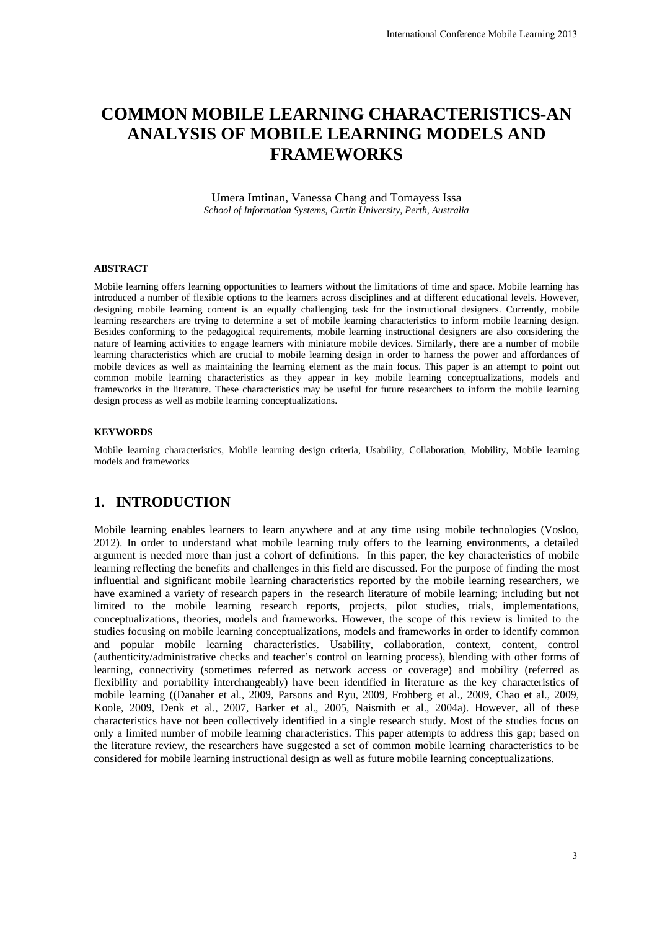# **COMMON MOBILE LEARNING CHARACTERISTICS-AN ANALYSIS OF MOBILE LEARNING MODELS AND FRAMEWORKS**

Umera Imtinan, Vanessa Chang and Tomayess Issa *School of Information Systems, Curtin University, Perth, Australia* 

#### **ABSTRACT**

Mobile learning offers learning opportunities to learners without the limitations of time and space. Mobile learning has introduced a number of flexible options to the learners across disciplines and at different educational levels. However, designing mobile learning content is an equally challenging task for the instructional designers. Currently, mobile learning researchers are trying to determine a set of mobile learning characteristics to inform mobile learning design. Besides conforming to the pedagogical requirements, mobile learning instructional designers are also considering the nature of learning activities to engage learners with miniature mobile devices. Similarly, there are a number of mobile learning characteristics which are crucial to mobile learning design in order to harness the power and affordances of mobile devices as well as maintaining the learning element as the main focus. This paper is an attempt to point out common mobile learning characteristics as they appear in key mobile learning conceptualizations, models and frameworks in the literature. These characteristics may be useful for future researchers to inform the mobile learning design process as well as mobile learning conceptualizations.

#### **KEYWORDS**

Mobile learning characteristics, Mobile learning design criteria, Usability, Collaboration, Mobility, Mobile learning models and frameworks

# **1. INTRODUCTION**

Mobile learning enables learners to learn anywhere and at any time using mobile technologies (Vosloo, 2012). In order to understand what mobile learning truly offers to the learning environments, a detailed argument is needed more than just a cohort of definitions. In this paper, the key characteristics of mobile learning reflecting the benefits and challenges in this field are discussed. For the purpose of finding the most influential and significant mobile learning characteristics reported by the mobile learning researchers, we have examined a variety of research papers in the research literature of mobile learning; including but not limited to the mobile learning research reports, projects, pilot studies, trials, implementations, conceptualizations, theories, models and frameworks. However, the scope of this review is limited to the studies focusing on mobile learning conceptualizations, models and frameworks in order to identify common and popular mobile learning characteristics. Usability, collaboration, context, content, control (authenticity/administrative checks and teacher's control on learning process), blending with other forms of learning, connectivity (sometimes referred as network access or coverage) and mobility (referred as flexibility and portability interchangeably) have been identified in literature as the key characteristics of mobile learning ((Danaher et al., 2009, Parsons and Ryu, 2009, Frohberg et al., 2009, Chao et al., 2009, Koole, 2009, Denk et al., 2007, Barker et al., 2005, Naismith et al., 2004a). However, all of these characteristics have not been collectively identified in a single research study. Most of the studies focus on only a limited number of mobile learning characteristics. This paper attempts to address this gap; based on the literature review, the researchers have suggested a set of common mobile learning characteristics to be considered for mobile learning instructional design as well as future mobile learning conceptualizations. International Conference Mobile Learning 2013<br> **IARACTERISTICS-AN**<br> **IMG MODELS AND**<br> **IMG MODELS AND**<br> **ISS**<br> **ITOM THE ANTIFICS CONSES AND**<br> **ITOM THE ANTIFICS AND**<br> **ITOM THE ANTIFICS AND**<br> **ITOM THE ANTIFICE ANTIFICS A**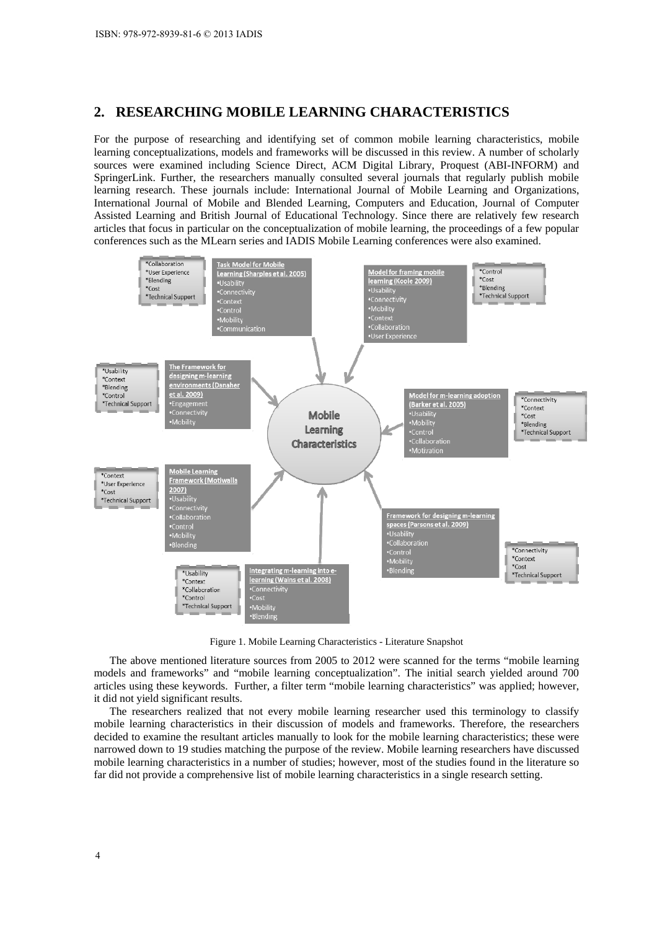#### **2. RESEARCHING MOBILE LEARNING CHARACTERISTICS**

For the purpose of researching and identifying set of common mobile learning characteristics, mobile learning conceptualizations, models and frameworks will be discussed in this review. A number of scholarly sources were examined including Science Direct, ACM Digital Library, Proquest (ABI-INFORM) and SpringerLink. Further, the researchers manually consulted several journals that regularly publish mobile learning research. These journals include: International Journal of Mobile Learning and Organizations, International Journal of Mobile and Blended Learning, Computers and Education, Journal of Computer Assisted Learning and British Journal of Educational Technology. Since there are relatively few research articles that focus in particular on the conceptualization of mobile learning, the proceedings of a few popular conferences such as the MLearn series and IADIS Mobile Learning conferences were also examined.



Figure 1. Mobile Learning Characteristics - Literature Snapshot

The above mentioned literature sources from 2005 to 2012 were scanned for the terms "mobile learning models and frameworks" and "mobile learning conceptualization". The initial search yielded around 700 articles using these keywords. Further, a filter term "mobile learning characteristics" was applied; however, it did not yield significant results.

The researchers realized that not every mobile learning researcher used this terminology to classify mobile learning characteristics in their discussion of models and frameworks. Therefore, the researchers decided to examine the resultant articles manually to look for the mobile learning characteristics; these were narrowed down to 19 studies matching the purpose of the review. Mobile learning researchers have discussed mobile learning characteristics in a number of studies; however, most of the studies found in the literature so far did not provide a comprehensive list of mobile learning characteristics in a single research setting.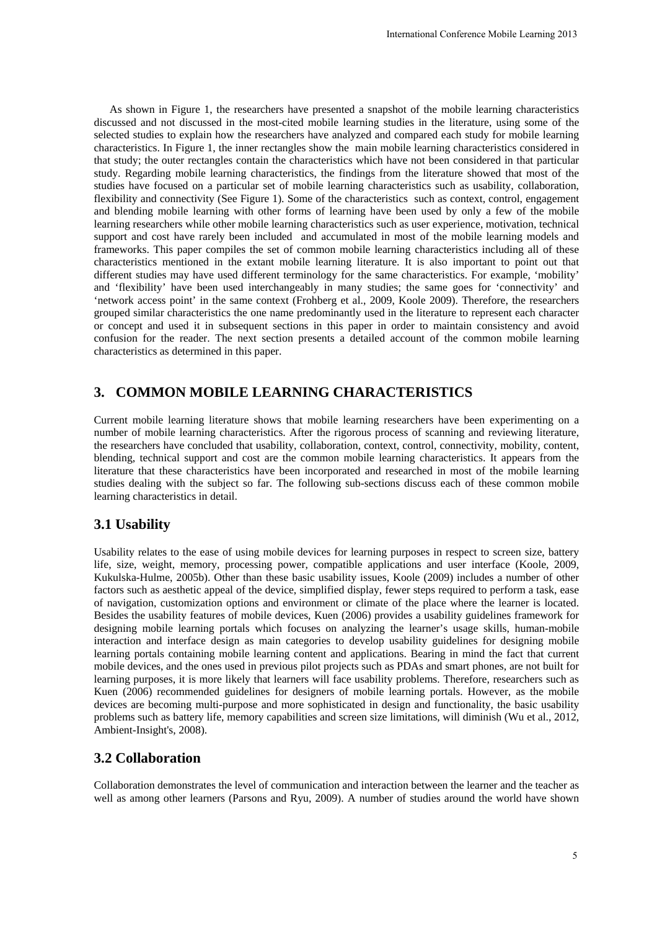As shown in Figure 1, the researchers have presented a snapshot of the mobile learning characteristics discussed and not discussed in the most-cited mobile learning studies in the literature, using some of the selected studies to explain how the researchers have analyzed and compared each study for mobile learning characteristics. In Figure 1, the inner rectangles show the main mobile learning characteristics considered in that study; the outer rectangles contain the characteristics which have not been considered in that particular study. Regarding mobile learning characteristics, the findings from the literature showed that most of the studies have focused on a particular set of mobile learning characteristics such as usability, collaboration, flexibility and connectivity (See Figure 1). Some of the characteristics such as context, control, engagement and blending mobile learning with other forms of learning have been used by only a few of the mobile learning researchers while other mobile learning characteristics such as user experience, motivation, technical support and cost have rarely been included and accumulated in most of the mobile learning models and frameworks. This paper compiles the set of common mobile learning characteristics including all of these characteristics mentioned in the extant mobile learning literature. It is also important to point out that different studies may have used different terminology for the same characteristics. For example, 'mobility' and 'flexibility' have been used interchangeably in many studies; the same goes for 'connectivity' and 'network access point' in the same context (Frohberg et al., 2009, Koole 2009). Therefore, the researchers grouped similar characteristics the one name predominantly used in the literature to represent each character or concept and used it in subsequent sections in this paper in order to maintain consistency and avoid confusion for the reader. The next section presents a detailed account of the common mobile learning characteristics as determined in this paper. International Conference Mobile Learning 2013<br>
shot of the mobile learning characteristics<br>
undies in the literature, using some of the<br>
undipared each study for mobile learning<br>
characteristics considered in<br>
the mobile l

# **3. COMMON MOBILE LEARNING CHARACTERISTICS**

Current mobile learning literature shows that mobile learning researchers have been experimenting on a number of mobile learning characteristics. After the rigorous process of scanning and reviewing literature, the researchers have concluded that usability, collaboration, context, control, connectivity, mobility, content, blending, technical support and cost are the common mobile learning characteristics. It appears from the literature that these characteristics have been incorporated and researched in most of the mobile learning studies dealing with the subject so far. The following sub-sections discuss each of these common mobile learning characteristics in detail.

## **3.1 Usability**

Usability relates to the ease of using mobile devices for learning purposes in respect to screen size, battery life, size, weight, memory, processing power, compatible applications and user interface (Koole, 2009, Kukulska-Hulme, 2005b). Other than these basic usability issues, Koole (2009) includes a number of other factors such as aesthetic appeal of the device, simplified display, fewer steps required to perform a task, ease of navigation, customization options and environment or climate of the place where the learner is located. Besides the usability features of mobile devices, Kuen (2006) provides a usability guidelines framework for designing mobile learning portals which focuses on analyzing the learner's usage skills, human-mobile interaction and interface design as main categories to develop usability guidelines for designing mobile learning portals containing mobile learning content and applications. Bearing in mind the fact that current mobile devices, and the ones used in previous pilot projects such as PDAs and smart phones, are not built for learning purposes, it is more likely that learners will face usability problems. Therefore, researchers such as Kuen (2006) recommended guidelines for designers of mobile learning portals. However, as the mobile devices are becoming multi-purpose and more sophisticated in design and functionality, the basic usability problems such as battery life, memory capabilities and screen size limitations, will diminish (Wu et al., 2012, Ambient-Insight's, 2008).

## **3.2 Collaboration**

Collaboration demonstrates the level of communication and interaction between the learner and the teacher as well as among other learners (Parsons and Ryu, 2009). A number of studies around the world have shown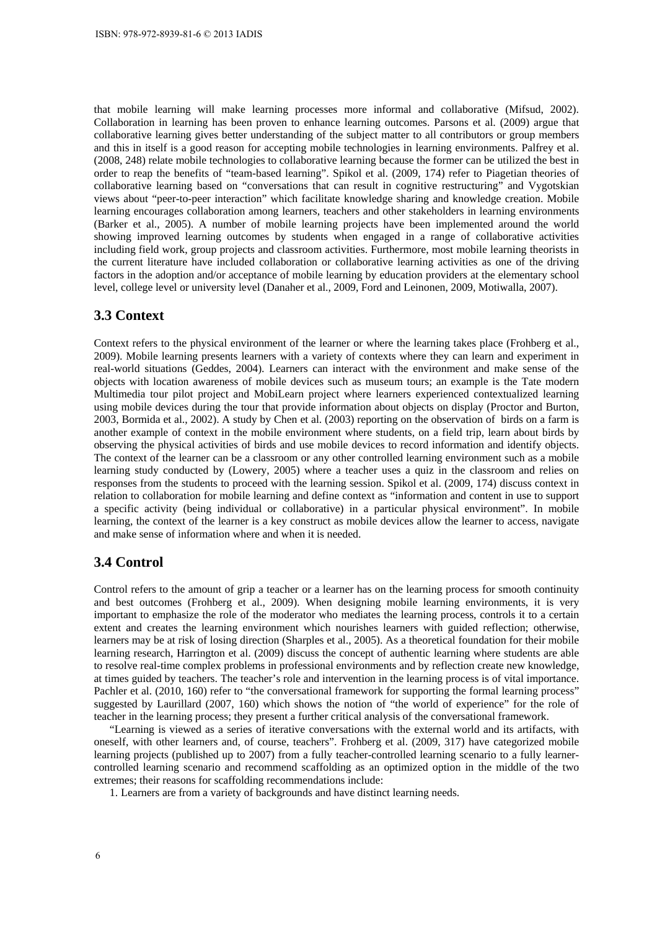that mobile learning will make learning processes more informal and collaborative (Mifsud, 2002). Collaboration in learning has been proven to enhance learning outcomes. Parsons et al. (2009) argue that collaborative learning gives better understanding of the subject matter to all contributors or group members and this in itself is a good reason for accepting mobile technologies in learning environments. Palfrey et al. (2008, 248) relate mobile technologies to collaborative learning because the former can be utilized the best in order to reap the benefits of "team-based learning". Spikol et al. (2009, 174) refer to Piagetian theories of collaborative learning based on "conversations that can result in cognitive restructuring" and Vygotskian views about "peer-to-peer interaction" which facilitate knowledge sharing and knowledge creation. Mobile learning encourages collaboration among learners, teachers and other stakeholders in learning environments (Barker et al., 2005). A number of mobile learning projects have been implemented around the world showing improved learning outcomes by students when engaged in a range of collaborative activities including field work, group projects and classroom activities. Furthermore, most mobile learning theorists in the current literature have included collaboration or collaborative learning activities as one of the driving factors in the adoption and/or acceptance of mobile learning by education providers at the elementary school level, college level or university level (Danaher et al., 2009, Ford and Leinonen, 2009, Motiwalla, 2007).

#### **3.3 Context**

Context refers to the physical environment of the learner or where the learning takes place (Frohberg et al., 2009). Mobile learning presents learners with a variety of contexts where they can learn and experiment in real-world situations (Geddes, 2004). Learners can interact with the environment and make sense of the objects with location awareness of mobile devices such as museum tours; an example is the Tate modern Multimedia tour pilot project and MobiLearn project where learners experienced contextualized learning using mobile devices during the tour that provide information about objects on display (Proctor and Burton, 2003, Bormida et al., 2002). A study by Chen et al. (2003) reporting on the observation of birds on a farm is another example of context in the mobile environment where students, on a field trip, learn about birds by observing the physical activities of birds and use mobile devices to record information and identify objects. The context of the learner can be a classroom or any other controlled learning environment such as a mobile learning study conducted by (Lowery, 2005) where a teacher uses a quiz in the classroom and relies on responses from the students to proceed with the learning session. Spikol et al. (2009, 174) discuss context in relation to collaboration for mobile learning and define context as "information and content in use to support a specific activity (being individual or collaborative) in a particular physical environment". In mobile learning, the context of the learner is a key construct as mobile devices allow the learner to access, navigate and make sense of information where and when it is needed.

#### **3.4 Control**

Control refers to the amount of grip a teacher or a learner has on the learning process for smooth continuity and best outcomes (Frohberg et al., 2009). When designing mobile learning environments, it is very important to emphasize the role of the moderator who mediates the learning process, controls it to a certain extent and creates the learning environment which nourishes learners with guided reflection; otherwise, learners may be at risk of losing direction (Sharples et al., 2005). As a theoretical foundation for their mobile learning research, Harrington et al. (2009) discuss the concept of authentic learning where students are able to resolve real-time complex problems in professional environments and by reflection create new knowledge, at times guided by teachers. The teacher's role and intervention in the learning process is of vital importance. Pachler et al. (2010, 160) refer to "the conversational framework for supporting the formal learning process" suggested by Laurillard (2007, 160) which shows the notion of "the world of experience" for the role of teacher in the learning process; they present a further critical analysis of the conversational framework.

"Learning is viewed as a series of iterative conversations with the external world and its artifacts, with oneself, with other learners and, of course, teachers". Frohberg et al. (2009, 317) have categorized mobile learning projects (published up to 2007) from a fully teacher-controlled learning scenario to a fully learnercontrolled learning scenario and recommend scaffolding as an optimized option in the middle of the two extremes; their reasons for scaffolding recommendations include:

1. Learners are from a variety of backgrounds and have distinct learning needs.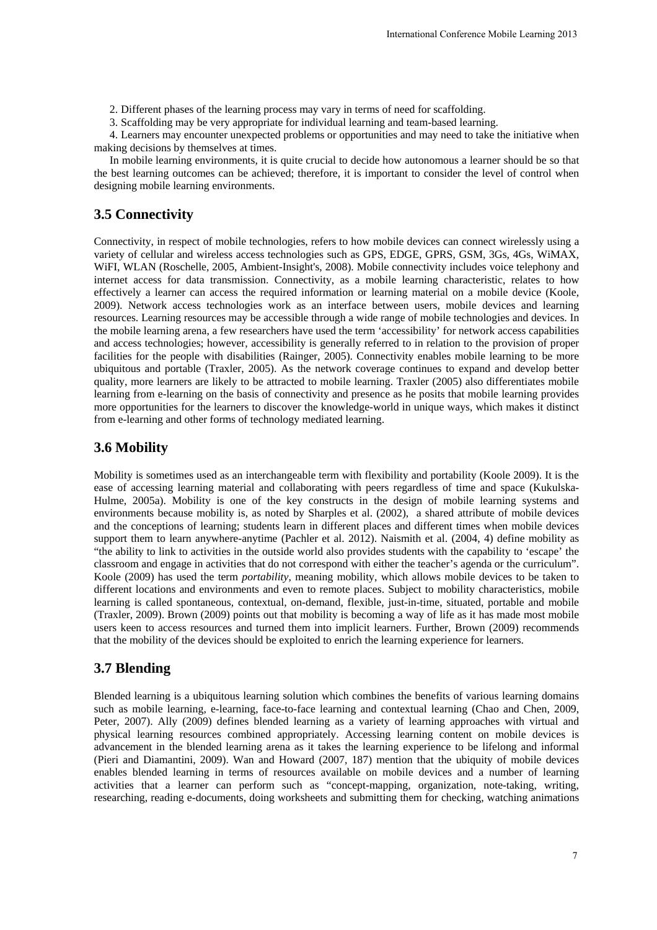2. Different phases of the learning process may vary in terms of need for scaffolding.

3. Scaffolding may be very appropriate for individual learning and team-based learning.

4. Learners may encounter unexpected problems or opportunities and may need to take the initiative when making decisions by themselves at times.

In mobile learning environments, it is quite crucial to decide how autonomous a learner should be so that the best learning outcomes can be achieved; therefore, it is important to consider the level of control when designing mobile learning environments.

## **3.5 Connectivity**

Connectivity, in respect of mobile technologies, refers to how mobile devices can connect wirelessly using a variety of cellular and wireless access technologies such as GPS, EDGE, GPRS, GSM, 3Gs, 4Gs, WiMAX, WiFI, WLAN (Roschelle, 2005, Ambient-Insight's, 2008). Mobile connectivity includes voice telephony and internet access for data transmission. Connectivity, as a mobile learning characteristic, relates to how effectively a learner can access the required information or learning material on a mobile device (Koole, 2009). Network access technologies work as an interface between users, mobile devices and learning resources. Learning resources may be accessible through a wide range of mobile technologies and devices. In the mobile learning arena, a few researchers have used the term 'accessibility' for network access capabilities and access technologies; however, accessibility is generally referred to in relation to the provision of proper facilities for the people with disabilities (Rainger, 2005). Connectivity enables mobile learning to be more ubiquitous and portable (Traxler, 2005). As the network coverage continues to expand and develop better quality, more learners are likely to be attracted to mobile learning. Traxler (2005) also differentiates mobile learning from e-learning on the basis of connectivity and presence as he posits that mobile learning provides more opportunities for the learners to discover the knowledge-world in unique ways, which makes it distinct from e-learning and other forms of technology mediated learning. International Conference Mobile Learning 2013<br>
International Conference Mobile Learning<br>
and team-based learning.<br>
and team-based learning.<br>
Internation and may need to take the initiative where<br>
the internation of the lev

# **3.6 Mobility**

Mobility is sometimes used as an interchangeable term with flexibility and portability (Koole 2009). It is the ease of accessing learning material and collaborating with peers regardless of time and space (Kukulska-Hulme, 2005a). Mobility is one of the key constructs in the design of mobile learning systems and environments because mobility is, as noted by Sharples et al. (2002), a shared attribute of mobile devices and the conceptions of learning; students learn in different places and different times when mobile devices support them to learn anywhere-anytime (Pachler et al. 2012). Naismith et al. (2004, 4) define mobility as "the ability to link to activities in the outside world also provides students with the capability to 'escape' the classroom and engage in activities that do not correspond with either the teacher's agenda or the curriculum". Koole (2009) has used the term *portability*, meaning mobility, which allows mobile devices to be taken to different locations and environments and even to remote places. Subject to mobility characteristics, mobile learning is called spontaneous, contextual, on-demand, flexible, just-in-time, situated, portable and mobile (Traxler, 2009). Brown (2009) points out that mobility is becoming a way of life as it has made most mobile users keen to access resources and turned them into implicit learners. Further, Brown (2009) recommends that the mobility of the devices should be exploited to enrich the learning experience for learners.

## **3.7 Blending**

Blended learning is a ubiquitous learning solution which combines the benefits of various learning domains such as mobile learning, e-learning, face-to-face learning and contextual learning (Chao and Chen, 2009, Peter, 2007). Ally (2009) defines blended learning as a variety of learning approaches with virtual and physical learning resources combined appropriately. Accessing learning content on mobile devices is advancement in the blended learning arena as it takes the learning experience to be lifelong and informal (Pieri and Diamantini, 2009). Wan and Howard (2007, 187) mention that the ubiquity of mobile devices enables blended learning in terms of resources available on mobile devices and a number of learning activities that a learner can perform such as "concept-mapping, organization, note-taking, writing, researching, reading e-documents, doing worksheets and submitting them for checking, watching animations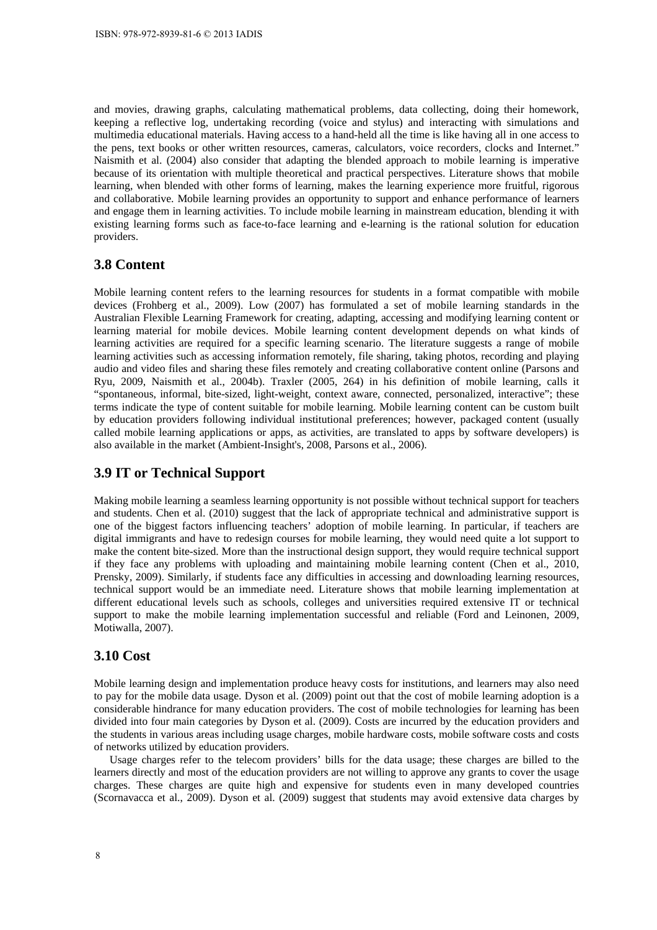and movies, drawing graphs, calculating mathematical problems, data collecting, doing their homework, keeping a reflective log, undertaking recording (voice and stylus) and interacting with simulations and multimedia educational materials. Having access to a hand-held all the time is like having all in one access to the pens, text books or other written resources, cameras, calculators, voice recorders, clocks and Internet." Naismith et al. (2004) also consider that adapting the blended approach to mobile learning is imperative because of its orientation with multiple theoretical and practical perspectives. Literature shows that mobile learning, when blended with other forms of learning, makes the learning experience more fruitful, rigorous and collaborative. Mobile learning provides an opportunity to support and enhance performance of learners and engage them in learning activities. To include mobile learning in mainstream education, blending it with existing learning forms such as face-to-face learning and e-learning is the rational solution for education providers.

## **3.8 Content**

Mobile learning content refers to the learning resources for students in a format compatible with mobile devices (Frohberg et al., 2009). Low (2007) has formulated a set of mobile learning standards in the Australian Flexible Learning Framework for creating, adapting, accessing and modifying learning content or learning material for mobile devices. Mobile learning content development depends on what kinds of learning activities are required for a specific learning scenario. The literature suggests a range of mobile learning activities such as accessing information remotely, file sharing, taking photos, recording and playing audio and video files and sharing these files remotely and creating collaborative content online (Parsons and Ryu, 2009, Naismith et al., 2004b). Traxler (2005, 264) in his definition of mobile learning, calls it "spontaneous, informal, bite-sized, light-weight, context aware, connected, personalized, interactive"; these terms indicate the type of content suitable for mobile learning. Mobile learning content can be custom built by education providers following individual institutional preferences; however, packaged content (usually called mobile learning applications or apps, as activities, are translated to apps by software developers) is also available in the market (Ambient-Insight's, 2008, Parsons et al., 2006).

## **3.9 IT or Technical Support**

Making mobile learning a seamless learning opportunity is not possible without technical support for teachers and students. Chen et al. (2010) suggest that the lack of appropriate technical and administrative support is one of the biggest factors influencing teachers' adoption of mobile learning. In particular, if teachers are digital immigrants and have to redesign courses for mobile learning, they would need quite a lot support to make the content bite-sized. More than the instructional design support, they would require technical support if they face any problems with uploading and maintaining mobile learning content (Chen et al., 2010, Prensky, 2009). Similarly, if students face any difficulties in accessing and downloading learning resources, technical support would be an immediate need. Literature shows that mobile learning implementation at different educational levels such as schools, colleges and universities required extensive IT or technical support to make the mobile learning implementation successful and reliable (Ford and Leinonen, 2009, Motiwalla, 2007).

#### **3.10 Cost**

Mobile learning design and implementation produce heavy costs for institutions, and learners may also need to pay for the mobile data usage. Dyson et al. (2009) point out that the cost of mobile learning adoption is a considerable hindrance for many education providers. The cost of mobile technologies for learning has been divided into four main categories by Dyson et al. (2009). Costs are incurred by the education providers and the students in various areas including usage charges, mobile hardware costs, mobile software costs and costs of networks utilized by education providers.

Usage charges refer to the telecom providers' bills for the data usage; these charges are billed to the learners directly and most of the education providers are not willing to approve any grants to cover the usage charges. These charges are quite high and expensive for students even in many developed countries (Scornavacca et al., 2009). Dyson et al. (2009) suggest that students may avoid extensive data charges by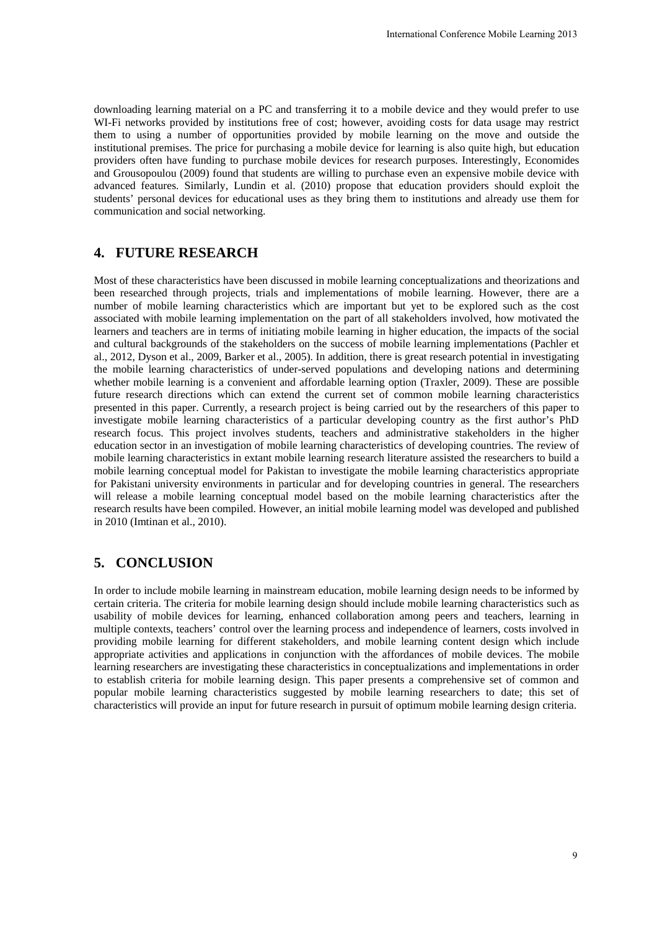downloading learning material on a PC and transferring it to a mobile device and they would prefer to use WI-Fi networks provided by institutions free of cost; however, avoiding costs for data usage may restrict them to using a number of opportunities provided by mobile learning on the move and outside the institutional premises. The price for purchasing a mobile device for learning is also quite high, but education providers often have funding to purchase mobile devices for research purposes. Interestingly, Economides and Grousopoulou (2009) found that students are willing to purchase even an expensive mobile device with advanced features. Similarly, Lundin et al. (2010) propose that education providers should exploit the students' personal devices for educational uses as they bring them to institutions and already use them for communication and social networking.

# **4. FUTURE RESEARCH**

Most of these characteristics have been discussed in mobile learning conceptualizations and theorizations and been researched through projects, trials and implementations of mobile learning. However, there are a number of mobile learning characteristics which are important but yet to be explored such as the cost associated with mobile learning implementation on the part of all stakeholders involved, how motivated the learners and teachers are in terms of initiating mobile learning in higher education, the impacts of the social and cultural backgrounds of the stakeholders on the success of mobile learning implementations (Pachler et al., 2012, Dyson et al., 2009, Barker et al., 2005). In addition, there is great research potential in investigating the mobile learning characteristics of under-served populations and developing nations and determining whether mobile learning is a convenient and affordable learning option (Traxler, 2009). These are possible future research directions which can extend the current set of common mobile learning characteristics presented in this paper. Currently, a research project is being carried out by the researchers of this paper to investigate mobile learning characteristics of a particular developing country as the first author's PhD research focus. This project involves students, teachers and administrative stakeholders in the higher education sector in an investigation of mobile learning characteristics of developing countries. The review of mobile learning characteristics in extant mobile learning research literature assisted the researchers to build a mobile learning conceptual model for Pakistan to investigate the mobile learning characteristics appropriate for Pakistani university environments in particular and for developing countries in general. The researchers will release a mobile learning conceptual model based on the mobile learning characteristics after the research results have been compiled. However, an initial mobile learning model was developed and published in 2010 (Imtinan et al., 2010). International Conference Mobile Learning 2013<br>
orbible device and they would prefer to use<br>
avoiding costs for data usage may restrice<br>
learning on the move and outside the<br>
clearanch purposes. Interestingly, Economides ca

## **5. CONCLUSION**

In order to include mobile learning in mainstream education, mobile learning design needs to be informed by certain criteria. The criteria for mobile learning design should include mobile learning characteristics such as usability of mobile devices for learning, enhanced collaboration among peers and teachers, learning in multiple contexts, teachers' control over the learning process and independence of learners, costs involved in providing mobile learning for different stakeholders, and mobile learning content design which include appropriate activities and applications in conjunction with the affordances of mobile devices. The mobile learning researchers are investigating these characteristics in conceptualizations and implementations in order to establish criteria for mobile learning design. This paper presents a comprehensive set of common and popular mobile learning characteristics suggested by mobile learning researchers to date; this set of characteristics will provide an input for future research in pursuit of optimum mobile learning design criteria.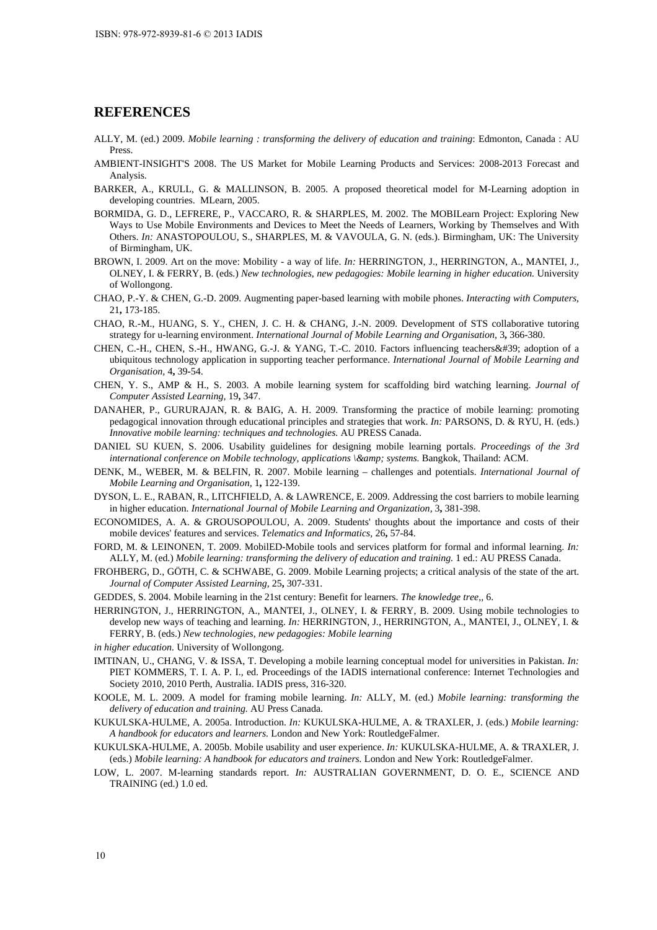#### **REFERENCES**

- ALLY, M. (ed.) 2009. *Mobile learning : transforming the delivery of education and training*: Edmonton, Canada : AU Press.
- AMBIENT-INSIGHT'S 2008. The US Market for Mobile Learning Products and Services: 2008-2013 Forecast and Analysis.
- BARKER, A., KRULL, G. & MALLINSON, B. 2005. A proposed theoretical model for M-Learning adoption in developing countries. MLearn, 2005.
- BORMIDA, G. D., LEFRERE, P., VACCARO, R. & SHARPLES, M. 2002. The MOBILearn Project: Exploring New Ways to Use Mobile Environments and Devices to Meet the Needs of Learners, Working by Themselves and With Others. *In:* ANASTOPOULOU, S., SHARPLES, M. & VAVOULA, G. N. (eds.). Birmingham, UK: The University of Birmingham, UK.
- BROWN, I. 2009. Art on the move: Mobility a way of life. *In:* HERRINGTON, J., HERRINGTON, A., MANTEI, J., OLNEY, I. & FERRY, B. (eds.) *New technologies, new pedagogies: Mobile learning in higher education.* University of Wollongong.
- CHAO, P.-Y. & CHEN, G.-D. 2009. Augmenting paper-based learning with mobile phones. *Interacting with Computers,* 21**,** 173-185.
- CHAO, R.-M., HUANG, S. Y., CHEN, J. C. H. & CHANG, J.-N. 2009. Development of STS collaborative tutoring strategy for u-learning environment. *International Journal of Mobile Learning and Organisation,* 3**,** 366-380.
- CHEN, C.-H., CHEN, S.-H., HWANG, G.-J. & YANG, T.-C. 2010. Factors influencing teachers' adoption of a ubiquitous technology application in supporting teacher performance. *International Journal of Mobile Learning and Organisation,* 4**,** 39-54.
- CHEN, Y. S., AMP & H., S. 2003. A mobile learning system for scaffolding bird watching learning. *Journal of Computer Assisted Learning,* 19**,** 347.
- DANAHER, P., GURURAJAN, R. & BAIG, A. H. 2009. Transforming the practice of mobile learning: promoting pedagogical innovation through educational principles and strategies that work. *In:* PARSONS, D. & RYU, H. (eds.) *Innovative mobile learning: techniques and technologies.* AU PRESS Canada.
- DANIEL SU KUEN, S. 2006. Usability guidelines for designing mobile learning portals. *Proceedings of the 3rd international conference on Mobile technology, applications \& systems.* Bangkok, Thailand: ACM.
- DENK, M., WEBER, M. & BELFIN, R. 2007. Mobile learning challenges and potentials. *International Journal of Mobile Learning and Organisation,* 1**,** 122-139.
- DYSON, L. E., RABAN, R., LITCHFIELD, A. & LAWRENCE, E. 2009. Addressing the cost barriers to mobile learning in higher education. *International Journal of Mobile Learning and Organization,* 3**,** 381-398.
- ECONOMIDES, A. A. & GROUSOPOULOU, A. 2009. Students' thoughts about the importance and costs of their mobile devices' features and services. *Telematics and Informatics,* 26**,** 57-84.
- FORD, M. & LEINONEN, T. 2009. MobilED-Mobile tools and services platform for formal and informal learning. *In:* ALLY, M. (ed.) *Mobile learning: transforming the delivery of education and training.* 1 ed.: AU PRESS Canada.
- FROHBERG, D., GÖTH, C. & SCHWABE, G. 2009. Mobile Learning projects; a critical analysis of the state of the art. *Journal of Computer Assisted Learning,* 25**,** 307-331.
- GEDDES, S. 2004. Mobile learning in the 21st century: Benefit for learners. *The knowledge tree,,* 6.
- HERRINGTON, J., HERRINGTON, A., MANTEI, J., OLNEY, I. & FERRY, B. 2009. Using mobile technologies to develop new ways of teaching and learning. *In:* HERRINGTON, J., HERRINGTON, A., MANTEI, J., OLNEY, I. & FERRY, B. (eds.) *New technologies, new pedagogies: Mobile learning*
- *in higher education.* University of Wollongong.
- IMTINAN, U., CHANG, V. & ISSA, T. Developing a mobile learning conceptual model for universities in Pakistan. *In:*  PIET KOMMERS, T. I. A. P. I., ed. Proceedings of the IADIS international conference: Internet Technologies and Society 2010, 2010 Perth, Australia. IADIS press, 316-320.
- KOOLE, M. L. 2009. A model for framing mobile learning. *In:* ALLY, M. (ed.) *Mobile learning: transforming the delivery of education and training.* AU Press Canada.
- KUKULSKA-HULME, A. 2005a. Introduction. *In:* KUKULSKA-HULME, A. & TRAXLER, J. (eds.) *Mobile learning: A handbook for educators and learners.* London and New York: RoutledgeFalmer.
- KUKULSKA-HULME, A. 2005b. Mobile usability and user experience. *In:* KUKULSKA-HULME, A. & TRAXLER, J. (eds.) *Mobile learning: A handbook for educators and trainers.* London and New York: RoutledgeFalmer.
- LOW, L. 2007. M-learning standards report. *In:* AUSTRALIAN GOVERNMENT, D. O. E., SCIENCE AND TRAINING (ed.) 1.0 ed.